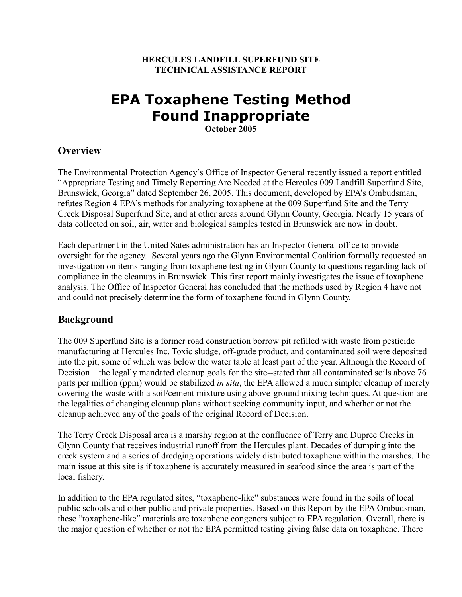#### **HERCULES LANDFILL SUPERFUND SITE TECHNICAL ASSISTANCE REPORT**

# **EPA Toxaphene Testing Method Found Inappropriate October 2005**

### **Overview**

The Environmental Protection Agency's Office of Inspector General recently issued a report entitled "Appropriate Testing and Timely Reporting Are Needed at the Hercules 009 Landfill Superfund Site, Brunswick, Georgia" dated September 26, 2005. This document, developed by EPA's Ombudsman, refutes Region 4 EPA's methods for analyzing toxaphene at the 009 Superfund Site and the Terry Creek Disposal Superfund Site, and at other areas around Glynn County, Georgia. Nearly 15 years of data collected on soil, air, water and biological samples tested in Brunswick are now in doubt.

Each department in the United Sates administration has an Inspector General office to provide oversight for the agency. Several years ago the Glynn Environmental Coalition formally requested an investigation on items ranging from toxaphene testing in Glynn County to questions regarding lack of compliance in the cleanups in Brunswick. This first report mainly investigates the issue of toxaphene analysis. The Office of Inspector General has concluded that the methods used by Region 4 have not and could not precisely determine the form of toxaphene found in Glynn County.

### **Background**

The 009 Superfund Site is a former road construction borrow pit refilled with waste from pesticide manufacturing at Hercules Inc. Toxic sludge, off-grade product, and contaminated soil were deposited into the pit, some of which was below the water table at least part of the year. Although the Record of Decision—the legally mandated cleanup goals for the site--stated that all contaminated soils above 76 parts per million (ppm) would be stabilized *in situ*, the EPA allowed a much simpler cleanup of merely covering the waste with a soil/cement mixture using above-ground mixing techniques. At question are the legalities of changing cleanup plans without seeking community input, and whether or not the cleanup achieved any of the goals of the original Record of Decision.

The Terry Creek Disposal area is a marshy region at the confluence of Terry and Dupree Creeks in Glynn County that receives industrial runoff from the Hercules plant. Decades of dumping into the creek system and a series of dredging operations widely distributed toxaphene within the marshes. The main issue at this site is if toxaphene is accurately measured in seafood since the area is part of the local fishery.

In addition to the EPA regulated sites, "toxaphene-like" substances were found in the soils of local public schools and other public and private properties. Based on this Report by the EPA Ombudsman, these "toxaphene-like" materials are toxaphene congeners subject to EPA regulation. Overall, there is the major question of whether or not the EPA permitted testing giving false data on toxaphene. There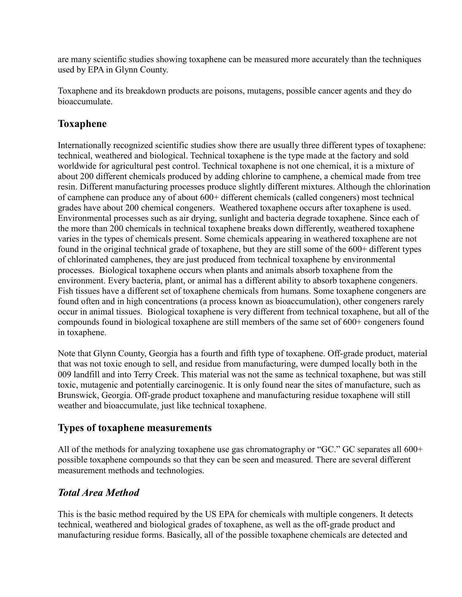are many scientific studies showing toxaphene can be measured more accurately than the techniques used by EPA in Glynn County.

Toxaphene and its breakdown products are poisons, mutagens, possible cancer agents and they do bioaccumulate.

# **Toxaphene**

Internationally recognized scientific studies show there are usually three different types of toxaphene: technical, weathered and biological. Technical toxaphene is the type made at the factory and sold worldwide for agricultural pest control. Technical toxaphene is not one chemical, it is a mixture of about 200 different chemicals produced by adding chlorine to camphene, a chemical made from tree resin. Different manufacturing processes produce slightly different mixtures. Although the chlorination of camphene can produce any of about 600+ different chemicals (called congeners) most technical grades have about 200 chemical congeners. Weathered toxaphene occurs after toxaphene is used. Environmental processes such as air drying, sunlight and bacteria degrade toxaphene. Since each of the more than 200 chemicals in technical toxaphene breaks down differently, weathered toxaphene varies in the types of chemicals present. Some chemicals appearing in weathered toxaphene are not found in the original technical grade of toxaphene, but they are still some of the 600+ different types of chlorinated camphenes, they are just produced from technical toxaphene by environmental processes. Biological toxaphene occurs when plants and animals absorb toxaphene from the environment. Every bacteria, plant, or animal has a different ability to absorb toxaphene congeners. Fish tissues have a different set of toxaphene chemicals from humans. Some toxaphene congeners are found often and in high concentrations (a process known as bioaccumulation), other congeners rarely occur in animal tissues. Biological toxaphene is very different from technical toxaphene, but all of the compounds found in biological toxaphene are still members of the same set of 600+ congeners found in toxaphene.

Note that Glynn County, Georgia has a fourth and fifth type of toxaphene. Off-grade product, material that was not toxic enough to sell, and residue from manufacturing, were dumped locally both in the 009 landfill and into Terry Creek. This material was not the same as technical toxaphene, but was still toxic, mutagenic and potentially carcinogenic. It is only found near the sites of manufacture, such as Brunswick, Georgia. Off-grade product toxaphene and manufacturing residue toxaphene will still weather and bioaccumulate, just like technical toxaphene.

## **Types of toxaphene measurements**

All of the methods for analyzing toxaphene use gas chromatography or "GC." GC separates all 600+ possible toxaphene compounds so that they can be seen and measured. There are several different measurement methods and technologies.

## *Total Area Method*

This is the basic method required by the US EPA for chemicals with multiple congeners. It detects technical, weathered and biological grades of toxaphene, as well as the off-grade product and manufacturing residue forms. Basically, all of the possible toxaphene chemicals are detected and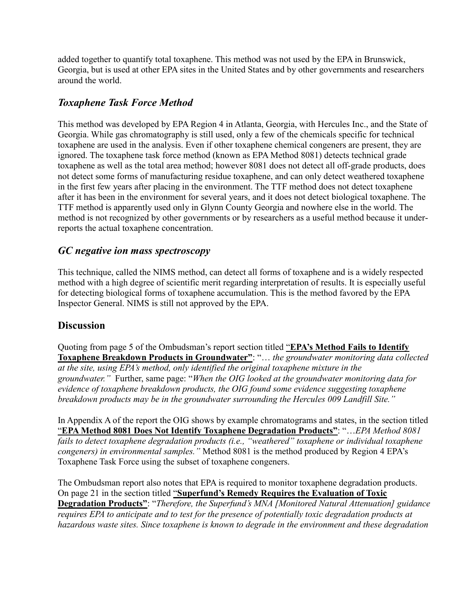added together to quantify total toxaphene. This method was not used by the EPA in Brunswick, Georgia, but is used at other EPA sites in the United States and by other governments and researchers around the world.

## *Toxaphene Task Force Method*

This method was developed by EPA Region 4 in Atlanta, Georgia, with Hercules Inc., and the State of Georgia. While gas chromatography is still used, only a few of the chemicals specific for technical toxaphene are used in the analysis. Even if other toxaphene chemical congeners are present, they are ignored. The toxaphene task force method (known as EPA Method 8081) detects technical grade toxaphene as well as the total area method; however 8081 does not detect all off-grade products, does not detect some forms of manufacturing residue toxaphene, and can only detect weathered toxaphene in the first few years after placing in the environment. The TTF method does not detect toxaphene after it has been in the environment for several years, and it does not detect biological toxaphene. The TTF method is apparently used only in Glynn County Georgia and nowhere else in the world. The method is not recognized by other governments or by researchers as a useful method because it underreports the actual toxaphene concentration.

### *GC negative ion mass spectroscopy*

This technique, called the NIMS method, can detect all forms of toxaphene and is a widely respected method with a high degree of scientific merit regarding interpretation of results. It is especially useful for detecting biological forms of toxaphene accumulation. This is the method favored by the EPA Inspector General. NIMS is still not approved by the EPA.

### **Discussion**

Quoting from page 5 of the Ombudsman's report section titled "**EPA's Method Fails to Identify Toxaphene Breakdown Products in Groundwater"**: "… *the groundwater monitoring data collected at the site, using EPA's method, only identified the original toxaphene mixture in the groundwater."* Further, same page: "*When the OIG looked at the groundwater monitoring data for evidence of toxaphene breakdown products, the OIG found some evidence suggesting toxaphene breakdown products may be in the groundwater surrounding the Hercules 009 Landfill Site."* 

In Appendix A of the report the OIG shows by example chromatograms and states, in the section titled "**EPA Method 8081 Does Not Identify Toxaphene Degradation Products"**: "…*EPA Method 8081 fails to detect toxaphene degradation products (i.e., "weathered" toxaphene or individual toxaphene congeners) in environmental samples.*" Method 8081 is the method produced by Region 4 EPA's Toxaphene Task Force using the subset of toxaphene congeners.

The Ombudsman report also notes that EPA is required to monitor toxaphene degradation products. On page 21 in the section titled "**Superfund's Remedy Requires the Evaluation of Toxic Degradation Products"**: "*Therefore, the Superfund's MNA [Monitored Natural Attenuation] guidance requires EPA to anticipate and to test for the presence of potentially toxic degradation products at hazardous waste sites. Since toxaphene is known to degrade in the environment and these degradation*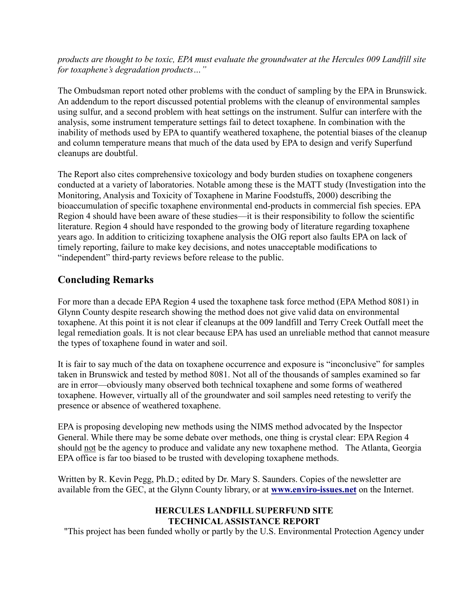*products are thought to be toxic, EPA must evaluate the groundwater at the Hercules 009 Landfill site for toxaphene's degradation products…"*

The Ombudsman report noted other problems with the conduct of sampling by the EPA in Brunswick. An addendum to the report discussed potential problems with the cleanup of environmental samples using sulfur, and a second problem with heat settings on the instrument. Sulfur can interfere with the analysis, some instrument temperature settings fail to detect toxaphene. In combination with the inability of methods used by EPA to quantify weathered toxaphene, the potential biases of the cleanup and column temperature means that much of the data used by EPA to design and verify Superfund cleanups are doubtful.

The Report also cites comprehensive toxicology and body burden studies on toxaphene congeners conducted at a variety of laboratories. Notable among these is the MATT study (Investigation into the Monitoring, Analysis and Toxicity of Toxaphene in Marine Foodstuffs, 2000) describing the bioaccumulation of specific toxaphene environmental end-products in commercial fish species. EPA Region 4 should have been aware of these studies—it is their responsibility to follow the scientific literature. Region 4 should have responded to the growing body of literature regarding toxaphene years ago. In addition to criticizing toxaphene analysis the OIG report also faults EPA on lack of timely reporting, failure to make key decisions, and notes unacceptable modifications to "independent" third-party reviews before release to the public.

## **Concluding Remarks**

For more than a decade EPA Region 4 used the toxaphene task force method (EPA Method 8081) in Glynn County despite research showing the method does not give valid data on environmental toxaphene. At this point it is not clear if cleanups at the 009 landfill and Terry Creek Outfall meet the legal remediation goals. It is not clear because EPA has used an unreliable method that cannot measure the types of toxaphene found in water and soil.

It is fair to say much of the data on toxaphene occurrence and exposure is "inconclusive" for samples taken in Brunswick and tested by method 8081. Not all of the thousands of samples examined so far are in error—obviously many observed both technical toxaphene and some forms of weathered toxaphene. However, virtually all of the groundwater and soil samples need retesting to verify the presence or absence of weathered toxaphene.

EPA is proposing developing new methods using the NIMS method advocated by the Inspector General. While there may be some debate over methods, one thing is crystal clear: EPA Region 4 should not be the agency to produce and validate any new toxaphene method. The Atlanta, Georgia EPA office is far too biased to be trusted with developing toxaphene methods.

Written by R. Kevin Pegg, Ph.D.; edited by Dr. Mary S. Saunders. Copies of the newsletter are available from the GEC, at the Glynn County library, or at **[www.enviro-issues.net](http://www.enviro-issues.net/#_blank)** on the Internet.

#### **HERCULES LANDFILL SUPERFUND SITE TECHNICAL ASSISTANCE REPORT**

"This project has been funded wholly or partly by the U.S. Environmental Protection Agency under